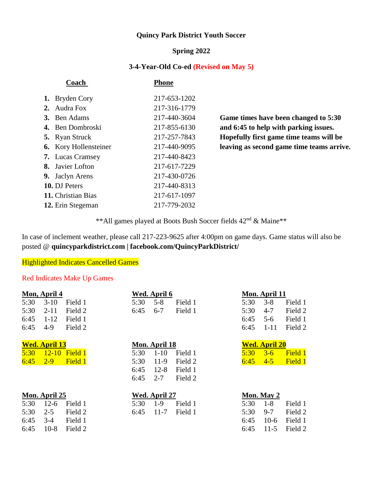## **Quincy Park District Youth Soccer**

#### **Spring 2022**

#### **3-4-Year-Old Co-ed (Revised on May 5)**

| Coach                        | Phone        |
|------------------------------|--------------|
| 1. Bryden Cory               | 217-653-1202 |
| 2. Audra Fox                 | 217-316-1779 |
| 3. Ben Adams                 | 217-440-3604 |
| 4. Ben Dombroski             | 217-855-6130 |
| <b>5.</b> Ryan Struck        | 217-257-7843 |
| <b>6.</b> Kory Hollensteiner | 217-440-9095 |
| <b>7.</b> Lucas Cramsey      | 217-440-8423 |
| <b>8.</b> Javier Lofton      | 217-617-7229 |
| 9. Jaclyn Arens              | 217-430-0726 |
| 10. DJ Peters                | 217-440-8313 |
| 11. Christian Bias           | 217-617-1097 |
| 12. Erin Stegeman            | 217-779-2032 |

Game times have been changed to 5:30 and 6:45 to help with parking issues. **Hopefully first game time teams will be** leaving as second game time teams arrive.

\*\*All games played at Boots Bush Soccer fields 42nd & Maine\*\*

In case of inclement weather, please call 217-223-9625 after 4:00pm on game days. Game status will also be posted @ **quincyparkdistrict.com | facebook.com/QuincyParkDistrict/**

### **Highlighted Indicates Cancelled Games**

#### Red Indicates Make Up Games

|      | Mon, April 4         |         |      | Wed. April 6  |         |      | Mon. April 11        |         |
|------|----------------------|---------|------|---------------|---------|------|----------------------|---------|
| 5:30 | $3-10$               | Field 1 | 5:30 | $5 - 8$       | Field 1 | 5:30 | $3 - 8$              | Field 1 |
| 5:30 | $2 - 11$             | Field 2 | 6:45 | $6 - 7$       | Field 1 | 5:30 | $4 - 7$              | Field 2 |
| 6:45 | $1 - 12$             | Field 1 |      |               |         | 6:45 | $5 - 6$              | Field 1 |
| 6:45 | $4-9$                | Field 2 |      |               |         | 6:45 | $1 - 11$             | Field 2 |
|      | <b>Wed. April 13</b> |         |      | Mon. April 18 |         |      | <b>Wed. April 20</b> |         |
| 5:30 | $12 - 10$            | Field 1 | 5:30 | $1-10$        | Field 1 | 5:30 | $3 - 6$              | Field 1 |
| 6:45 | $2 - 9$              | Field 1 | 5:30 | $11-9$        | Field 2 | 6:45 | $4 - 5$              | Field 1 |
|      |                      |         | 6:45 | $12 - 8$      | Field 1 |      |                      |         |
|      |                      |         | 6:45 | $2 - 7$       | Field 2 |      |                      |         |
|      | Mon. April 25        |         |      | Wed. April 27 |         |      | Mon. May 2           |         |
| 5:30 | $12-6$               | Field 1 | 5:30 | $1-9$         | Field 1 | 5:30 | $1-8$                | Field 1 |
| 5:30 | $2 - 5$              | Field 2 | 6:45 | $11 - 7$      | Field 1 | 5:30 | $9 - 7$              | Field 2 |
| 6:45 | $3-4$                | Field 1 |      |               |         | 6:45 | $10-6$               | Field 1 |
| 6:45 | $10-8$               | Field 2 |      |               |         | 6:45 | $11-5$               | Field 2 |